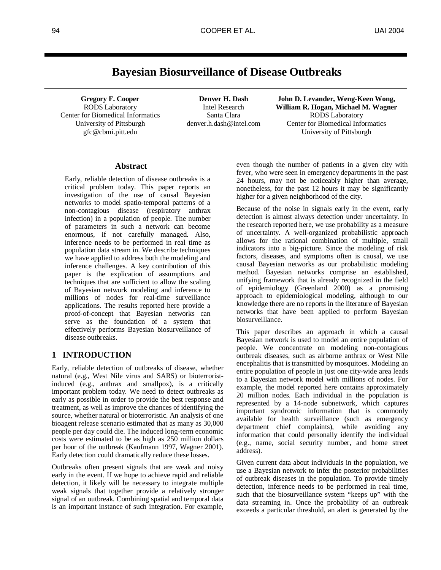# **Bayesian Biosurveillance of Disease Outbreaks**

**Gregory F. Cooper** RODS Laboratory Center for Biomedical Informatics University of Pittsburgh gfc@cbmi.pitt.edu

**Denver H. Dash** Intel Research Santa Clara denver.h.dash@intel.com

**John D. Levander, Weng-Keen Wong, William R. Hogan, Michael M. Wagner** RODS Laboratory Center for Biomedical Informatics University of Pittsburgh

## **Abstract**

Early, reliable detection of disease outbreaks is a critical problem today. This paper reports an investigation of the use of causal Bayesian networks to model spatio-temporal patterns of a non-contagious disease (respiratory anthrax infection) in a population of people. The number of parameters in such a network can become enormous, if not carefully managed. Also, inference needs to be performed in real time as population data stream in. We describe techniques we have applied to address both the modeling and inference challenges. A key contribution of this paper is the explication of assumptions and techniques that are sufficient to allow the scaling of Bayesian network modeling and inference to millions of nodes for real-time surveillance applications. The results reported here provide a proof-of-concept that Bayesian networks can serve as the foundation of a system that effectively performs Bayesian biosurveillance of disease outbreaks.

## **1 INTRODUCTION**

Early, reliable detection of outbreaks of disease, whether natural (e.g., West Nile virus and SARS) or bioterroristinduced (e.g., anthrax and smallpox), is a critically important problem today. We need to detect outbreaks as early as possible in order to provide the best response and treatment, as well as improve the chances of identifying the source, whether natural or bioterroristic. An analysis of one bioagent release scenario estimated that as many as 30,000 people per day could die. The induced long-term economic costs were estimated to be as high as 250 million dollars per hour of the outbreak (Kaufmann 1997, Wagner 2001). Early detection could dramatically reduce these losses.

Outbreaks often present signals that are weak and noisy early in the event. If we hope to achieve rapid and reliable detection, it likely will be necessary to integrate multiple weak signals that together provide a relatively stronger signal of an outbreak. Combining spatial and temporal data is an important instance of such integration. For example,

even though the number of patients in a given city with fever, who were seen in emergency departments in the past 24 hours, may not be noticeably higher than average, nonetheless, for the past 12 hours it may be significantly higher for a given neighborhood of the city.

Because of the noise in signals early in the event, early detection is almost always detection under uncertainty. In the research reported here, we use probability as a measure of uncertainty. A well-organized probabilistic approach allows for the rational combination of multiple, small indicators into a big-picture. Since the modeling of risk factors, diseases, and symptoms often is causal, we use causal Bayesian networks as our probabilistic modeling method. Bayesian networks comprise an established, unifying framework that is already recognized in the field of epidemiology (Greenland 2000) as a promising approach to epidemiological modeling, although to our knowledge there are no reports in the literature of Bayesian networks that have been applied to perform Bayesian biosurveillance.

This paper describes an approach in which a causal Bayesian network is used to model an entire population of people. We concentrate on modeling non-contagious outbreak diseases, such as airborne anthrax or West Nile encephalitis that is transmitted by mosquitoes. Modeling an entire population of people in just one city-wide area leads to a Bayesian network model with millions of nodes. For example, the model reported here contains approximately 20 million nodes. Each individual in the population is represented by a 14-node subnetwork, which captures important syndromic information that is commonly available for health surveillance (such as emergency department chief complaints), while avoiding any information that could personally identify the individual (e.g., name, social security number, and home street address).

Given current data about individuals in the population, we use a Bayesian network to infer the posterior probabilities of outbreak diseases in the population. To provide timely detection, inference needs to be performed in real time, such that the biosurveillance system "keeps up" with the data streaming in. Once the probability of an outbreak exceeds a particular threshold, an alert is generated by the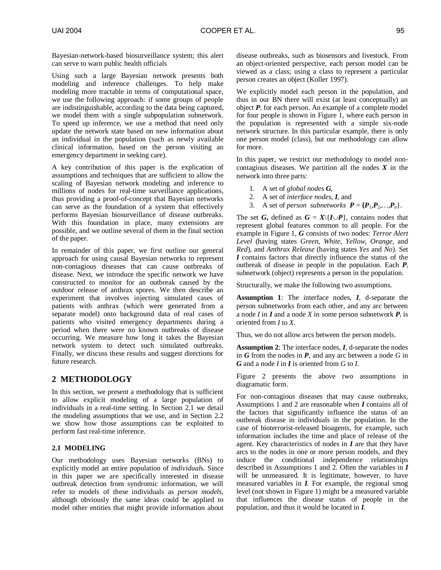Bayesian-network-based biosurveillance system; this alert can serve to warn public health officials

Using such a large Bayesian network presents both modeling and inference challenges. To help make modeling more tractable in terms of computational space, we use the following approach: if some groups of people are indistinguishable, according to the data being captured, we model them with a single subpopulation subnetwork. To speed up inference, we use a method that need only update the network state based on new information about an individual in the population (such as newly available clinical information, based on the person visiting an emergency department in seeking care).

A key contribution of this paper is the explication of assumptions and techniques that are sufficient to allow the scaling of Bayesian network modeling and inference to millions of nodes for real-time surveillance applications, thus providing a proof-of-concept that Bayesian networks can serve as the foundation of a system that effectively performs Bayesian biosurveillance of disease outbreaks. With this foundation in place, many extensions are possible, and we outline several of them in the final section of the paper.

In remainder of this paper, we first outline our general approach for using causal Bayesian networks to represent non-contagious diseases that can cause outbreaks of disease. Next, we introduce the specific network we have constructed to monitor for an outbreak caused by the outdoor release of anthrax spores. We then describe an experiment that involves injecting simulated cases of patients with anthrax (which were generated from a separate model) onto background data of real cases of patients who visited emergency departments during a period when there were no known outbreaks of disease occurring. We measure how long it takes the Bayesian network system to detect such simulated outbreaks. Finally, we discuss these results and suggest directions for future research.

## **2 METHODOLOGY**

In this section, we present a methodology that is sufficient to allow explicit modeling of a large population of individuals in a real-time setting. In Section 2.1 we detail the modeling assumptions that we use, and in Section 2.2 we show how those assumptions can be exploited to perform fast real-time inference.

## **2.1 MODELING**

Our methodology uses Bayesian networks (BNs) to explicitly model an entire population of *individual*s. Since in this paper we are specifically interested in disease outbreak detection from syndromic information, we will refer to models of these individuals as *person models*, although obviously the same ideas could be applied to model other entities that might provide information about disease outbreaks, such as biosensors and livestock. From an object-oriented perspective, each person model can be viewed as a class; using a class to represent a particular person creates an object (Koller 1997).

We explicitly model each person in the population, and thus in our BN there will exist (at least conceptually) an object  $P_i$  for each person. An example of a complete model for four people is shown in Figure 1, where each person in the population is represented with a simple six-node network structure. In this particular example, there is only one person model (class), but our methodology can allow for more.

In this paper, we restrict our methodology to model noncontagious diseases. We partition all the nodes *X* in the network into three parts:

- 1. A set of *global nodes G*,
- 2. A set of *interface nodes*, *I*, and
- 3. A set of *person subnetworks*  $P = \{P_1, P_2, ..., P_n\}.$

The set *G*, defined as  $G = X\{I \cup P\}$ , contains nodes that represent global features common to all people. For the example in Figure 1, *G* consists of two nodes: *Terror Alert Level* (having states *Green*, *White, Yellow*, *Orange*, and *Red*), and *Anthrax Release* (having states *Yes* and *No*). Set *I* contains factors that directly influence the status of the outbreak of disease in people in the population. Each  $P_i$ subnetwork (object) represents a person in the population.

Structurally, we make the following two assumptions.

**Assumption 1**: The interface nodes, *I*, d-separate the person subnetworks from each other, and any arc between a node *I* in *I* and a node *X* in some person subnetwork  $P_i$  is oriented from *I* to *X*.

Thus, we do not allow arcs between the person models.

**Assumption 2**: The interface nodes, *I*, d-separate the nodes in *G* from the nodes in *P*, and any arc between a node *G* in *G* and a node *I* in *I* is oriented from *G* to *I*.

Figure 2 presents the above two assumptions in diagramatic form.

For non-contagious diseases that may cause outbreaks, Assumptions 1 and 2 are reasonable when *I* contains all of the factors that significantly influence the status of an outbreak disease in individuals in the population. In the case of bioterrorist-released bioagents, for example, such information includes the time and place of release of the agent. Key characteristics of nodes in *I* are that they have arcs to the nodes in one or more person models, and they induce the conditional independence relationships described in Assumptions 1 and 2. Often the variables in *I* will be unmeasured. It is legitimate, however, to have measured variables in *I*. For example, the regional smog level (not shown in Figure 1) might be a measured variable that influences the disease status of people in the population, and thus it would be located in *I*.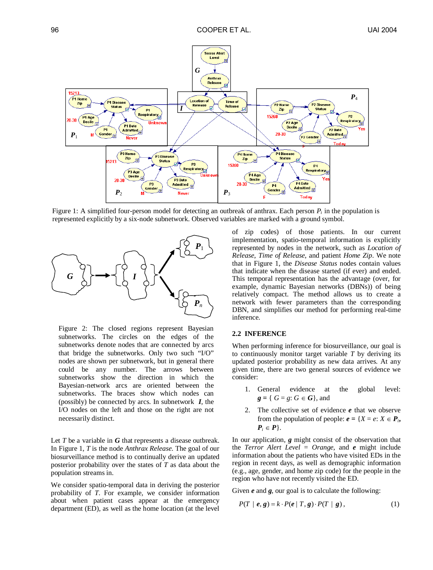

Figure 1: A simplified four-person model for detecting an outbreak of anthrax. Each person  $P_i$  in the population is represented explicitly by a six-node subnetwork. Observed variables are marked with a ground symbol.



Figure 2: The closed regions represent Bayesian subnetworks. The circles on the edges of the subnetworks denote nodes that are connected by arcs that bridge the subnetworks. Only two such "I/O" nodes are shown per subnetwork, but in general there could be any number. The arrows between subnetworks show the direction in which the Bayesian-network arcs are oriented between the subnetworks. The braces show which nodes can (possibly) be connected by arcs. In subnetwork *I*, the I/O nodes on the left and those on the right are not necessarily distinct.

Let *T* be a variable in *G* that represents a disease outbreak. In Figure 1, *T* is the node *Anthrax Release*. The goal of our biosurveillance method is to continually derive an updated posterior probability over the states of *T* as data about the population streams in.

We consider spatio-temporal data in deriving the posterior probability of *T*. For example, we consider information about when patient cases appear at the emergency department (ED), as well as the home location (at the level

of zip codes) of those patients. In our current implementation, spatio-temporal information is explicitly represented by nodes in the network, such as *Location of Release*, *Time of Release*, and patient *Home Zip*. We note that in Figure 1, the *Disease Status* nodes contain values that indicate when the disease started (if ever) and ended. This temporal representation has the advantage (over, for example, dynamic Bayesian networks (DBNs)) of being relatively compact. The method allows us to create a network with fewer parameters than the corresponding DBN, and simplifies our method for performing real-time inference.

#### **2.2 INFERENCE**

When performing inference for biosurveillance, our goal is to continuously monitor target variable *T* by deriving its updated posterior probability as new data arrives. At any given time, there are two general sources of evidence we consider:

- 1. General evidence at the global level:  $g = \{ G = g : G \in G \}$ , and
- 2. The collective set of evidence *e* that we observe from the population of people:  $e = \{X = e: X \in P_i, \}$  $P_i \in P$ .

In our application, *g* might consist of the observation that the *Terror Alert Level* = *Orange*, and *e* might include information about the patients who have visited EDs in the region in recent days, as well as demographic information (e.g., age, gender, and home zip code) for the people in the region who have not recently visited the ED.

Given *e* and *g*, our goal is to calculate the following:

$$
P(T \mid e, g) = k \cdot P(e \mid T, g) \cdot P(T \mid g), \qquad (1)
$$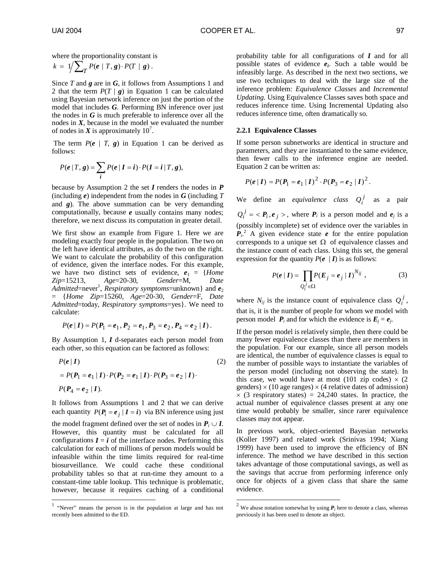where the proportionality constant is

$$
k = 1/\sum_{T} P(e | T, g) \cdot P(T | g).
$$

Since *T* and *g* are in *G*, it follows from Assumptions 1 and 2 that the term  $P(T | g)$  in Equation 1 can be calculated using Bayesian network inference on just the portion of the model that includes *G*. Performing BN inference over just the nodes in *G* is much preferable to inference over all the nodes in  $X$ , because in the model we evaluated the number of nodes in  $X$  is approximately 10<sup>7</sup>.

The term  $P(e \mid T, g)$  in Equation 1 can be derived as follows:

$$
P(e | T, g) = \sum_{i} P(e | I = i) \cdot P(I = i | T, g),
$$

because by Assumption 2 the set *I* renders the nodes in *P* (including *e*) independent from the nodes in *G* (including *T* and *g*). The above summation can be very demanding computationally, because *e* usually contains many nodes; therefore, we next discuss its computation in greater detail.

We first show an example from Figure 1. Here we are modeling exactly four people in the population. The two on the left have identical attributes, as do the two on the right. We want to calculate the probability of this configuration of evidence, given the interface nodes. For this example, we have two distinct sets of evidence,  $e_1 = {Home}$ *Zip*=15213, *Age*=20-30, *Gender*=M, *Date Admitted*=never<sup>1</sup>, *Respiratory symptoms*=unknown} and  $e_2$ = {*Home Zip*=15260, *Age*=20-30, *Gender*=F, *Date Admitted*=today, *Respiratory symptoms*=yes}. We need to calculate:

$$
P(e | I) = P(P_1 = e_1, P_2 = e_1, P_3 = e_2, P_4 = e_2 | I).
$$

By Assumption 1, *I* d-separates each person model from each other, so this equation can be factored as follows:

$$
P(e | I)
$$
\n
$$
= P(P_1 = e_1 | I) \cdot P(P_2 = e_1 | I) \cdot P(P_3 = e_2 | I)
$$
\n
$$
P(P_4 = e_2 | I)
$$
\n(2)

It follows from Assumptions 1 and 2 that we can derive each quantity  $P(P_i = e_i | I = i)$  via BN inference using just

the model fragment defined over the set of nodes in  $P_i \cup I$ . However, this quantity must be calculated for all configurations  $I = i$  of the interface nodes. Performing this calculation for each of millions of person models would be infeasible within the time limits required for real-time biosurveillance. We could cache these conditional probability tables so that at run-time they amount to a constant-time table lookup. This technique is problematic, however, because it requires caching of a conditional

 $\overline{a}$ 

probability table for all configurations of *I* and for all possible states of evidence  $e_i$ . Such a table would be infeasibly large. As described in the next two sections, we use two techniques to deal with the large size of the inference problem: *Equivalence Classes* and *Incremental Updating*. Using Equivalence Classes saves both space and reduces inference time. Using Incremental Updating also reduces inference time, often dramatically so.

#### **2.2.1 Equivalence Classes**

If some person subnetworks are identical in structure and parameters, and they are instantiated to the same evidence, then fewer calls to the inference engine are needed. Equation 2 can be written as:

$$
P(e | I) = P(P_1 = e_1 | I)^2 \cdot P(P_3 = e_2 | I)^2.
$$

We define an *equivalence class*  $Q_i^j$  as a pair  $Q_i^j = \langle P_i, e_j \rangle$ , where  $P_i$  is a person model and  $e_j$  is a (possibly incomplete) set of evidence over the variables in  $\vec{P}_i^2$ . A given evidence state *e* for the entire population corresponds to a unique set  $\Omega$  of equivalence classes and the instance count of each class. Using this set, the general expression for the quantity  $P(e \mid I)$  is as follows:

$$
P(e | I) = \prod_{Q_i^j \in \Omega} P(E_j = e_j | I)^{N_{ij}} , \qquad (3)
$$

where  $N_{ij}$  is the instance count of equivalence class  $Q_i^j$ , that is, it is the number of people for whom we model with person model  $P_i$  and for which the evidence is  $E_i = e_j$ .

If the person model is relatively simple, then there could be many fewer equivalence classes than there are members in the population. For our example, since all person models are identical, the number of equivalence classes is equal to the number of possible ways to instantiate the variables of the person model (including not observing the state). In this case, we would have at most (101 zip codes)  $\times$  (2) genders)  $\times$  (10 age ranges)  $\times$  (4 relative dates of admission)  $\times$  (3 respiratory states) = 24,240 states. In practice, the actual number of equivalence classes present at any one time would probably be smaller, since rarer equivalence classes may not appear.

In previous work, object-oriented Bayesian networks (Koller 1997) and related work (Srinivas 1994; Xiang 1999) have been used to improve the efficiency of BN inference. The method we have described in this section takes advantage of those computational savings, as well as the savings that accrue from performing inference only once for objects of a given class that share the same evidence.

l

<sup>&</sup>lt;sup>1</sup> "Never" means the person is in the population at large and has not recently been admitted to the ED.

<sup>&</sup>lt;sup>2</sup> We abuse notation somewhat by using  $P_i$  here to denote a class, whereas previously it has been used to denote an object.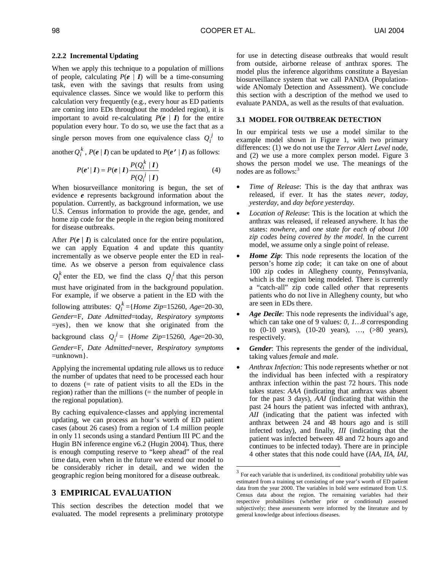#### **2.2.2 Incremental Updating**

When we apply this technique to a population of millions of people, calculating  $P(e | I)$  will be a time-consuming task, even with the savings that results from using equivalence classes. Since we would like to perform this calculation very frequently (e.g., every hour as ED patients are coming into EDs throughout the modeled region), it is important to avoid re-calculating  $P(e \mid I)$  for the entire population every hour. To do so, we use the fact that as a single person moves from one equivalence class  $Q_i^j$  to another  $Q_i^k$ ,  $P(e | I)$  can be updated to  $P(e' | I)$  as follows:

$$
P(e'|I) = P(e|I) \frac{P(Q_i^k|I)}{P(Q_i^j|I)}
$$
\n(4)

When biosurveillance monitoring is begun, the set of evidence *e* represents background information about the population. Currently, as background information, we use U.S. Census information to provide the age, gender, and home zip code for the people in the region being monitored for disease outbreaks.

After  $P(e | I)$  is calculated once for the entire population, we can apply Equation 4 and update this quantity incrementally as we observe people enter the ED in realtime. As we observe a person from equivalence class  $Q_i^k$  enter the ED, we find the class  $Q_i^j$  that this person must have originated from in the background population. For example, if we observe a patient in the ED with the following attributes:  $Q_i^k = \{Home\ Zip=15260, Age=20-30,$ *Gender*=F, *Date Admitted*=today, *Respiratory symptoms* =yes}, then we know that she originated from the background class  $Q_i^j$  = {*Home Zip*=15260, *Age*=20-30, *Gender*=F, *Date Admitted*=never, *Respiratory symptoms* =unknown}.

Applying the incremental updating rule allows us to reduce the number of updates that need to be processed each hour to dozens (= rate of patient visits to all the EDs in the region) rather than the millions (= the number of people in the regional population).

By caching equivalence-classes and applying incremental updating, we can process an hour's worth of ED patient cases (about 26 cases) from a region of 1.4 million people in only 11 seconds using a standard Pentium III PC and the Hugin BN inference engine v6.2 (Hugin 2004). Thus, there is enough computing reserve to "keep ahead" of the real time data, even when in the future we extend our model to be considerably richer in detail, and we widen the geographic region being monitored for a disease outbreak.

## **3 EMPIRICAL EVALUATION**

This section describes the detection model that we evaluated. The model represents a preliminary prototype for use in detecting disease outbreaks that would result from outside, airborne release of anthrax spores. The model plus the inference algorithms constitute a Bayesian biosurveillance system that we call PANDA (Populationwide ANomaly Detection and Assessment). We conclude this section with a description of the method we used to evaluate PANDA, as well as the results of that evaluation.

#### **3.1 MODEL FOR OUTBREAK DETECTION**

In our empirical tests we use a model similar to the example model shown in Figure 1, with two primary differences: (1) we do not use the *Terror Alert Level* node, and (2) we use a more complex person model. Figure 3 shows the person model we use. The meanings of the nodes are as follows:<sup>3</sup>

- *Time of Release*: This is the day that anthrax was released, if ever. It has the states *never*, *today*, *yesterday*, and *day before yesterday*.
- *Location of Release*: This is the location at which the anthrax was released, if released anywhere. It has the states: *nowhere*, and *one state for each of about 100 zip codes being covered by the model*. In the current model, we assume only a single point of release.
- *Home Zip*: This node represents the location of the person's home zip code; it can take on one of about 100 zip codes in Allegheny county, Pennsylvania, which is the region being modeled. There is currently a "catch-all" zip code called *other* that represents patients who do not live in Allegheny county, but who are seen in EDs there.
- *Age Decile*: This node represents the individual's age, which can take one of 9 values: *0, 1…8* corresponding to (0-10 years), (10-20 years), …, (>80 years), respectively.
- *Gender*: This represents the gender of the individual, taking values *female* and *male*.
- *Anthrax Infection:* This node represents whether or not the individual has been infected with a respiratory anthrax infection within the past 72 hours. This node takes states: *AAA* (indicating that anthrax was absent for the past 3 days), *AAI* (indicating that within the past 24 hours the patient was infected with anthrax), *AII* (indicating that the patient was infected with anthrax between 24 and 48 hours ago and is still infected today), and finally, *III* (indicating that the patient was infected between 48 and 72 hours ago and continues to be infected today). There are in principle 4 other states that this node could have (*IAA*, *IIA*, *IAI*,

l

 $3$  For each variable that is underlined, its conditional probability table was estimated from a training set consisting of one year's worth of ED patient data from the year 2000. The variables in bold were estimated from U.S. Census data about the region. The remaining variables had their respective probabilities (whether prior or conditional) assessed subjectively; these assessments were informed by the literature and by general knowledge about infectious diseases.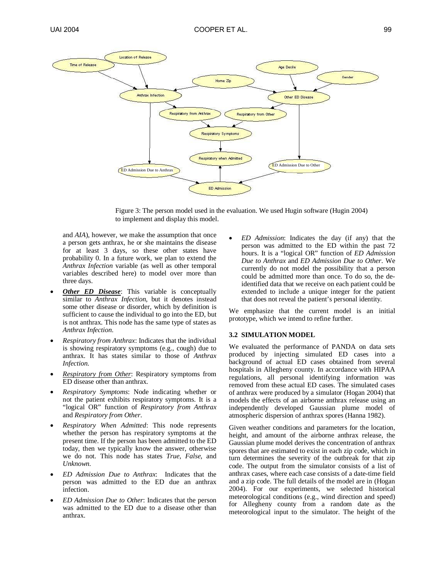

Figure 3: The person model used in the evaluation. We used Hugin software (Hugin 2004) to implement and display this model.

and *AIA*), however, we make the assumption that once a person gets anthrax, he or she maintains the disease for at least 3 days, so these other states have probability 0. In a future work, we plan to extend the *Anthrax Infection* variable (as well as other temporal variables described here) to model over more than three days.

- **Other ED Disease:** This variable is conceptually similar to *Anthrax Infection*, but it denotes instead some other disease or disorder, which by definition is sufficient to cause the individual to go into the ED, but is not anthrax. This node has the same type of states as *Anthrax Infection*.
- *Respiratory from Anthrax*: Indicates that the individual is showing respiratory symptoms (e.g., cough) due to anthrax. It has states similar to those of *Anthrax Infection*.
- *Respiratory from Other*: Respiratory symptoms from ED disease other than anthrax.
- *Respiratory Symptoms*: Node indicating whether or not the patient exhibits respiratory symptoms. It is a "logical OR" function of *Respiratory from Anthrax* and *Respiratory from Other*.
- *Respiratory When Admitted*: This node represents whether the person has respiratory symptoms at the present time. If the person has been admitted to the ED today, then we typically know the answer, otherwise we do not. This node has states *True*, *False*, and *Unknown*.
- *ED Admission Due to Anthrax*: Indicates that the person was admitted to the ED due an anthrax infection.
- *ED Admission Due to Other*: Indicates that the person was admitted to the ED due to a disease other than anthrax.

 *ED Admission*: Indicates the day (if any) that the person was admitted to the ED within the past 72 hours. It is a "logical OR" function of *ED Admission Due to Anthrax* and *ED Admission Due to Other*. We currently do not model the possibility that a person could be admitted more than once. To do so, the deidentified data that we receive on each patient could be extended to include a unique integer for the patient that does not reveal the patient's personal identity.

We emphasize that the current model is an initial prototype, which we intend to refine further.

#### **3.2 SIMULATION MODEL**

We evaluated the performance of PANDA on data sets produced by injecting simulated ED cases into a background of actual ED cases obtained from several hospitals in Allegheny county. In accordance with HIPAA regulations, all personal identifying information was removed from these actual ED cases. The simulated cases of anthrax were produced by a simulator (Hogan 2004) that models the effects of an airborne anthrax release using an independently developed Gaussian plume model of atmospheric dispersion of anthrax spores (Hanna 1982).

Given weather conditions and parameters for the location, height, and amount of the airborne anthrax release, the Gaussian plume model derives the concentration of anthrax spores that are estimated to exist in each zip code, which in turn determines the severity of the outbreak for that zip code. The output from the simulator consists of a list of anthrax cases, where each case consists of a date-time field and a zip code. The full details of the model are in (Hogan 2004). For our experiments, we selected historical meteorological conditions (e.g., wind direction and speed) for Allegheny county from a random date as the meteorological input to the simulator. The height of the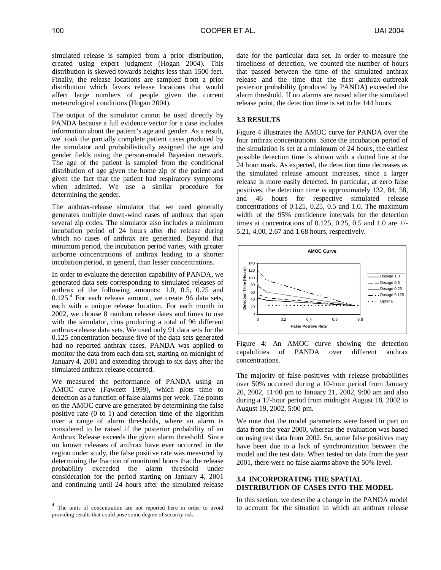100 COOPER ET AL. UAI 2004

simulated release is sampled from a prior distribution, created using expert judgment (Hogan 2004). This distribution is skewed towards heights less than 1500 feet. Finally, the release locations are sampled from a prior distribution which favors release locations that would affect large numbers of people given the current meteorological conditions (Hogan 2004).

The output of the simulator cannot be used directly by PANDA because a full evidence vector for a case includes information about the patient's age and gender. As a result, we took the partially complete patient cases produced by the simulator and probabilistically assigned the age and gender fields using the person-model Bayesian network. The age of the patient is sampled from the conditional distribution of age given the home zip of the patient and given the fact that the patient had respiratory symptoms when admitted. We use a similar procedure for determining the gender.

The anthrax-release simulator that we used generally generates multiple down-wind cases of anthrax that span several zip codes. The simulator also includes a minimum incubation period of 24 hours after the release during which no cases of anthrax are generated. Beyond that minimum period, the incubation period varies, with greater airborne concentrations of anthrax leading to a shorter incubation period, in general, than lesser concentrations.

In order to evaluate the detection capability of PANDA, we generated data sets corresponding to simulated releases of anthrax of the following amounts: 1.0, 0.5, 0.25 and 0.125.<sup>4</sup> For each release amount, we create 96 data sets, each with a unique release location. For each month in 2002, we choose 8 random release dates and times to use with the simulator, thus producing a total of 96 different anthrax-release data sets. We used only 91 data sets for the 0.125 concentration because five of the data sets generated had no reported anthrax cases. PANDA was applied to monitor the data from each data set, starting on midnight of January 4, 2001 and extending through to six days after the simulated anthrax release occurred.

We measured the performance of PANDA using an AMOC curve (Fawcett 1999), which plots time to detection as a function of false alarms per week. The points on the AMOC curve are generated by determining the false positive rate (0 to 1) and detection time of the algorithm over a range of alarm thresholds, where an alarm is considered to be raised if the posterior probability of an Anthrax Release exceeds the given alarm threshold. Since no known releases of anthrax have ever occurred in the region under study, the false positive rate was measured by determining the fraction of monitored hours that the release probability exceeded the alarm threshold under consideration for the period starting on January 4, 2001 and continuing until 24 hours after the simulated release

 $\overline{a}$ 

date for the particular data set. In order to measure the timeliness of detection, we counted the number of hours that passed between the time of the simulated anthrax release and the time that the first anthrax-outbreak posterior probability (produced by PANDA) exceeded the alarm threshold. If no alarms are raised after the simulated release point, the detection time is set to be 144 hours.

### **3.3 RESULTS**

Figure 4 illustrates the AMOC curve for PANDA over the four anthrax concentrations. Since the incubation period of the simulation is set at a minimum of 24 hours, the earliest possible detection time is shown with a dotted line at the 24 hour mark. As expected, the detection time decreases as the simulated release amount increases, since a larger release is more easily detected. In particular, at zero false positives, the detection time is approximately 132, 84, 58, and 46 hours for respective simulated release concentrations of  $0.125$ ,  $0.25$ ,  $0.5$  and 1.0. The maximum width of the 95% confidence intervals for the detection times at concentrations of 0.125, 0.25, 0.5 and 1.0 are  $+/-$ 5.21, 4.00, 2.67 and 1.68 hours, respectively.



Figure 4: An AMOC curve showing the detection capabilities of PANDA over different anthrax concentrations.

The majority of false positives with release probabilities over 50% occurred during a 10-hour period from January 20, 2002, 11:00 pm to January 21, 2002, 9:00 am and also during a 17-hour period from midnight August 18, 2002 to August 19, 2002, 5:00 pm.

We note that the model parameters were based in part on data from the year 2000, whereas the evaluation was based on using test data from 2002. So, some false positives may have been due to a lack of synchronization between the model and the test data. When tested on data from the year 2001, there were no false alarms above the 50% level.

### **3.4 INCORPORATING THE SPATIAL DISTRIBUTION OF CASES INTO THE MODEL**

In this section, we describe a change in the PANDA model to account for the situation in which an anthrax release

 $4$  The units of concentration are not reported here in order to avoid providing results that could pose some degree of security risk.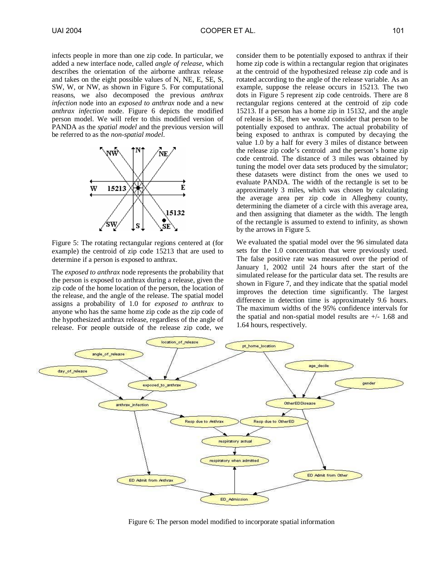infects people in more than one zip code. In particular, we added a new interface node, called *angle of release*, which describes the orientation of the airborne anthrax release and takes on the eight possible values of N, NE, E, SE, S, SW, W, or NW, as shown in Figure 5. For computational reasons, we also decomposed the previous *anthrax infection* node into an *exposed to anthrax* node and a new *anthrax infection* node. Figure 6 depicts the modified person model. We will refer to this modified version of PANDA as the *spatial model* and the previous version will be referred to as the *non-spatial model*.



Figure 5: The rotating rectangular regions centered at (for example) the centroid of zip code 15213 that are used to determine if a person is exposed to anthrax.

The *exposed to anthrax* node represents the probability that the person is exposed to anthrax during a release, given the zip code of the home location of the person, the location of the release, and the angle of the release. The spatial model assigns a probability of 1.0 for *exposed to anthrax* to anyone who has the same home zip code as the zip code of the hypothesized anthrax release, regardless of the angle of release. For people outside of the release zip code, we

consider them to be potentially exposed to anthrax if their home zip code is within a rectangular region that originates at the centroid of the hypothesized release zip code and is rotated according to the angle of the release variable. As an example, suppose the release occurs in 15213. The two dots in Figure 5 represent zip code centroids. There are 8 rectangular regions centered at the centroid of zip code 15213. If a person has a home zip in 15132, and the angle of release is SE, then we would consider that person to be potentially exposed to anthrax. The actual probability of being exposed to anthrax is computed by decaying the value 1.0 by a half for every 3 miles of distance between the release zip code's centroid and the person's home zip code centroid. The distance of 3 miles was obtained by tuning the model over data sets produced by the simulator; these datasets were distinct from the ones we used to evaluate PANDA. The width of the rectangle is set to be approximately 3 miles, which was chosen by calculating the average area per zip code in Allegheny county, determining the diameter of a circle with this average area, and then assigning that diameter as the width. The length of the rectangle is assumed to extend to infinity, as shown by the arrows in Figure 5.

We evaluated the spatial model over the 96 simulated data sets for the 1.0 concentration that were previously used. The false positive rate was measured over the period of January 1, 2002 until 24 hours after the start of the simulated release for the particular data set. The results are shown in Figure 7, and they indicate that the spatial model improves the detection time significantly. The largest difference in detection time is approximately 9.6 hours. The maximum widths of the 95% confidence intervals for the spatial and non-spatial model results are  $+/- 1.68$  and 1.64 hours, respectively.



Figure 6: The person model modified to incorporate spatial information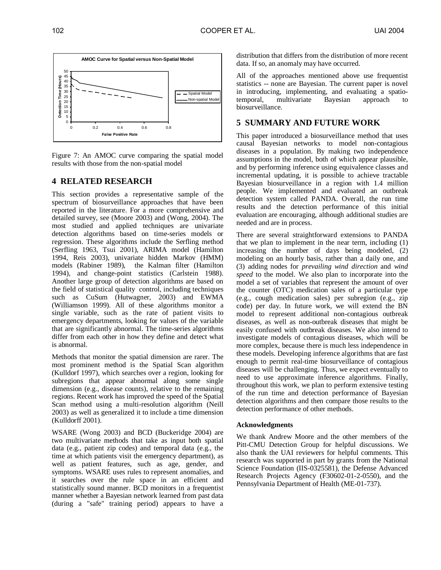

Figure 7: An AMOC curve comparing the spatial model results with those from the non-spatial model

### **4 RELATED RESEARCH**

This section provides a representative sample of the spectrum of biosurveillance approaches that have been reported in the literature. For a more comprehensive and detailed survey, see (Moore 2003) and (Wong, 2004). The most studied and applied techniques are univariate detection algorithms based on time-series models or regression. These algorithms include the Serfling method (Serfling 1963, Tsui 2001), ARIMA model (Hamilton 1994, Reis 2003), univariate hidden Markov (HMM) models (Rabiner 1989), the Kalman filter (Hamilton 1994), and change-point statistics (Carlstein 1988). Another large group of detection algorithms are based on the field of statistical quality control, including techniques such as CuSum (Hutwagner, 2003) and EWMA (Williamson 1999). All of these algorithms monitor a single variable, such as the rate of patient visits to emergency departments, looking for values of the variable that are significantly abnormal. The time-series algorithms differ from each other in how they define and detect what is abnormal.

Methods that monitor the spatial dimension are rarer. The most prominent method is the Spatial Scan algorithm (Kulldorf 1997), which searches over a region, looking for subregions that appear abnormal along some single dimension (e.g., disease counts), relative to the remaining regions. Recent work has improved the speed of the Spatial Scan method using a multi-resolution algorithm (Neill 2003) as well as generalized it to include a time dimension (Kulldorff 2001).

WSARE (Wong 2003) and BCD (Buckeridge 2004) are two multivariate methods that take as input both spatial data (e.g., patient zip codes) and temporal data (e.g., the time at which patients visit the emergency department), as well as patient features, such as age, gender, and symptoms. WSARE uses rules to represent anomalies, and it searches over the rule space in an efficient and statistically sound manner. BCD monitors in a frequentist manner whether a Bayesian network learned from past data (during a "safe" training period) appears to have a

distribution that differs from the distribution of more recent data. If so, an anomaly may have occurred.

All of the approaches mentioned above use frequentist statistics -- none are Bayesian. The current paper is novel in introducing, implementing, and evaluating a spatiotemporal, multivariate Bayesian approach to biosurveillance.

## **5 SUMMARY AND FUTURE WORK**

This paper introduced a biosurveillance method that uses causal Bayesian networks to model non-contagious diseases in a population. By making two independence assumptions in the model, both of which appear plausible, and by performing inference using equivalence classes and incremental updating, it is possible to achieve tractable Bayesian biosurveillance in a region with 1.4 million people. We implemented and evaluated an outbreak detection system called PANDA. Overall, the run time results and the detection performance of this initial evaluation are encouraging, although additional studies are needed and are in process.

There are several straightforward extensions to PANDA that we plan to implement in the near term, including (1) increasing the number of days being modeled, (2) modeling on an hourly basis, rather than a daily one, and (3) adding nodes for *prevailing wind direction* and *wind speed* to the model. We also plan to incorporate into the model a set of variables that represent the amount of over the counter (OTC) medication sales of a particular type (e.g., cough medication sales) per subregion (e.g., zip code) per day. In future work, we will extend the BN model to represent additional non-contagious outbreak diseases, as well as non-outbreak diseases that might be easily confused with outbreak diseases. We also intend to investigate models of contagious diseases, which will be more complex, because there is much less independence in these models. Developing inference algorithms that are fast enough to permit real-time biosurveillance of contagious diseases will be challenging. Thus, we expect eventually to need to use approximate inference algorithms. Finally, throughout this work, we plan to perform extensive testing of the run time and detection performance of Bayesian detection algorithms and then compare those results to the detection performance of other methods.

#### **Acknowledgments**

We thank Andrew Moore and the other members of the Pitt-CMU Detection Group for helpful discussions. We also thank the UAI reviewers for helpful comments. This research was supported in part by grants from the National Science Foundation (IIS-0325581), the Defense Advanced Research Projects Agency (F30602-01-2-0550), and the Pennsylvania Department of Health (ME-01-737).